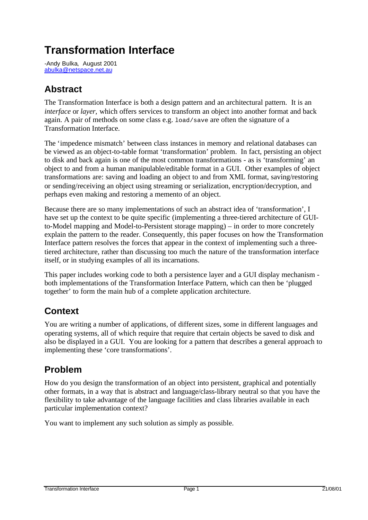# **Transformation Interface**

-Andy Bulka,August 2001 abulka@netspace.net.au

## **Abstract**

The Transformation Interface is both a design pattern and an architectural pattern. It is an *interface* or *layer,* which offers services to transform an object into another format and back again. A pair of methods on some class e.g. load/save are often the signature of a Transformation Interface.

The 'impedence mismatch' between class instances in memory and relational databases can be viewed as an object-to-table format 'transformation' problem. In fact, persisting an object to disk and back again is one of the most common transformations - as is 'transforming' an object to and from a human manipulable/editable format in a GUI. Other examples of object transformations are: saving and loading an object to and from XML format, saving/restoring or sending/receiving an object using streaming or serialization, encryption/decryption, and perhaps even making and restoring a memento of an object.

Because there are so many implementations of such an abstract idea of 'transformation', I have set up the context to be quite specific (implementing a three-tiered architecture of GUIto-Model mapping and Model-to-Persistent storage mapping) – in order to more concretely explain the pattern to the reader. Consequently, this paper focuses on how the Transformation Interface pattern resolves the forces that appear in the context of implementing such a threetiered architecture, rather than discussing too much the nature of the transformation interface itself, or in studying examples of all its incarnations.

This paper includes working code to both a persistence layer and a GUI display mechanism both implementations of the Transformation Interface Pattern, which can then be 'plugged together' to form the main hub of a complete application architecture.

## **Context**

You are writing a number of applications, of different sizes, some in different languages and operating systems, all of which require that require that certain objects be saved to disk and also be displayed in a GUI. You are looking for a pattern that describes a general approach to implementing these 'core transformations'.

## **Problem**

How do you design the transformation of an object into persistent, graphical and potentially other formats, in a way that is abstract and language/class-library neutral so that you have the flexibility to take advantage of the language facilities and class libraries available in each particular implementation context?

You want to implement any such solution as simply as possible.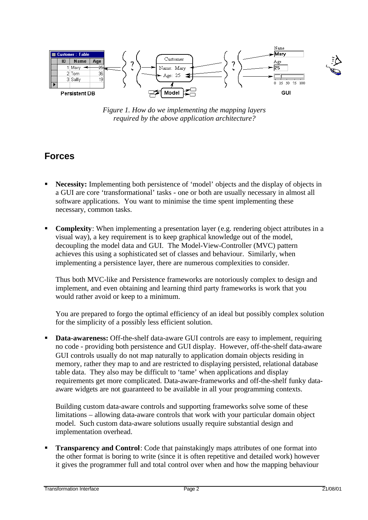

*Figure 1. How do we implementing the mapping layers required by the above application architecture?*

### **Forces**

- Necessity: Implementing both persistence of 'model' objects and the display of objects in a GUI are core 'transformational' tasks - one or both are usually necessary in almost all software applications. You want to minimise the time spent implementing these necessary, common tasks.
- **Complexity**: When implementing a presentation layer (e.g. rendering object attributes in a visual way), a key requirement is to keep graphical knowledge out of the model, decoupling the model data and GUI. The Model-View-Controller (MVC) pattern achieves this using a sophisticated set of classes and behaviour. Similarly, when implementing a persistence layer, there are numerous complexities to consider.

Thus both MVC-like and Persistence frameworks are notoriously complex to design and implement, and even obtaining and learning third party frameworks is work that you would rather avoid or keep to a minimum.

You are prepared to forgo the optimal efficiency of an ideal but possibly complex solution for the simplicity of a possibly less efficient solution.

ß **Data-awareness:** Off-the-shelf data-aware GUI controls are easy to implement, requiring no code - providing both persistence and GUI display. However, off-the-shelf data-aware GUI controls usually do not map naturally to application domain objects residing in memory, rather they map to and are restricted to displaying persisted, relational database table data. They also may be difficult to 'tame' when applications and display requirements get more complicated. Data-aware-frameworks and off-the-shelf funky dataaware widgets are not guaranteed to be available in all your programming contexts.

Building custom data-aware controls and supporting frameworks solve some of these limitations – allowing data-aware controls that work with your particular domain object model. Such custom data-aware solutions usually require substantial design and implementation overhead.

**Transparency and Control**: Code that painstakingly maps attributes of one format into the other format is boring to write (since it is often repetitive and detailed work) however it gives the programmer full and total control over when and how the mapping behaviour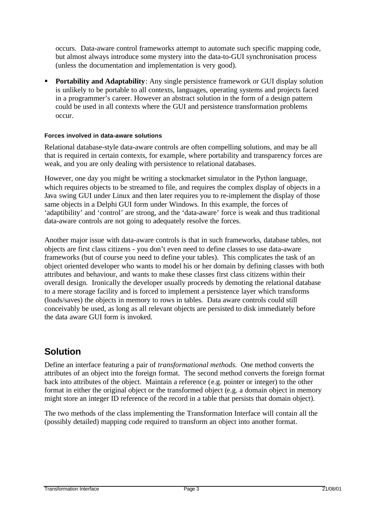occurs. Data-aware control frameworks attempt to automate such specific mapping code, but almost always introduce some mystery into the data-to-GUI synchronisation process (unless the documentation and implementation is very good).

ß **Portability and Adaptability**: Any single persistence framework or GUI display solution is unlikely to be portable to all contexts, languages, operating systems and projects faced in a programmer's career. However an abstract solution in the form of a design pattern could be used in all contexts where the GUI and persistence transformation problems occur.

#### **Forces involved in data-aware solutions**

Relational database-style data-aware controls are often compelling solutions, and may be all that is required in certain contexts, for example, where portability and transparency forces are weak, and you are only dealing with persistence to relational databases.

However, one day you might be writing a stockmarket simulator in the Python language, which requires objects to be streamed to file, and requires the complex display of objects in a Java swing GUI under Linux and then later requires you to re-implement the display of those same objects in a Delphi GUI form under Windows. In this example, the forces of 'adaptibility' and 'control' are strong, and the 'data-aware' force is weak and thus traditional data-aware controls are not going to adequately resolve the forces.

Another major issue with data-aware controls is that in such frameworks, database tables, not objects are first class citizens - you don't even need to define classes to use data-aware frameworks (but of course you need to define your tables). This complicates the task of an object oriented developer who wants to model his or her domain by defining classes with both attributes and behaviour, and wants to make these classes first class citizens within their overall design. Ironically the developer usually proceeds by demoting the relational database to a mere storage facility and is forced to implement a persistence layer which transforms (loads/saves) the objects in memory to rows in tables. Data aware controls could still conceivably be used, as long as all relevant objects are persisted to disk immediately before the data aware GUI form is invoked.

### **Solution**

Define an interface featuring a pair of *transformational methods.* One method converts the attributes of an object into the foreign format. The second method converts the foreign format back into attributes of the object. Maintain a reference (e.g. pointer or integer) to the other format in either the original object or the transformed object (e.g. a domain object in memory might store an integer ID reference of the record in a table that persists that domain object).

The two methods of the class implementing the Transformation Interface will contain all the (possibly detailed) mapping code required to transform an object into another format.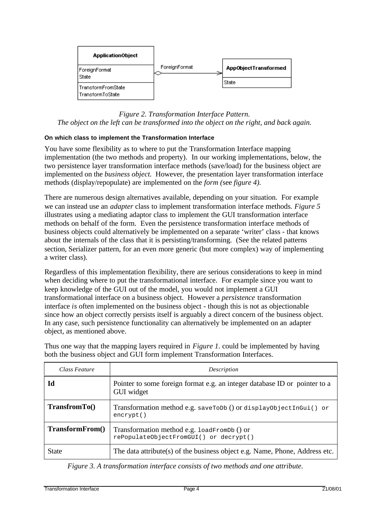

### *Figure 2. Transformation Interface Pattern. The object on the left can be transformed into the object on the right, and back again.*

### **On which class to implement the Transformation Interface**

You have some flexibility as to where to put the Transformation Interface mapping implementation (the two methods and property). In our working implementations, below, the two persistence layer transformation interface methods (save/load) for the business object are implemented on the *business object.* However, the presentation layer transformation interface methods (display/repopulate) are implemented on the *form (*see *figure 4).*

There are numerous design alternatives available, depending on your situation. For example we can instead use an *adapter* class to implement transformation interface methods. *Figure 5* illustrates using a mediating adaptor class to implement the GUI transformation interface methods on behalf of the form. Even the persistence transformation interface methods of business objects could alternatively be implemented on a separate 'writer' class - that knows about the internals of the class that it is persisting/transforming. (See the related patterns section, Serializer pattern, for an even more generic (but more complex) way of implementing a writer class).

Regardless of this implementation flexibility, there are serious considerations to keep in mind when deciding where to put the transformational interface. For example since you want to keep knowledge of the GUI out of the model, you would not implement a GUI transformational interface on a business object. However a *persistence* transformation interface *is* often implemented on the business object - though this is not as objectionable since how an object correctly persists itself is arguably a direct concern of the business object. In any case, such persistence functionality can alternatively be implemented on an adapter object, as mentioned above.

Thus one way that the mapping layers required in *Figure 1.* could be implemented by having both the business object and GUI form implement Transformation Interfaces.

| Class Feature   | Description                                                                              |
|-----------------|------------------------------------------------------------------------------------------|
| Id              | Pointer to some foreign format e.g. an integer database ID or pointer to a<br>GUI widget |
| $TransformTo()$ | Transformation method e.g. saveToDb () or displayObjectInGui() or<br>$\text{encrypt}()$  |
| TransformFrom() | Transformation method e.g. loadFromDb () or<br>rePopulateObjectFromGUI() or decrypt()    |
| <b>State</b>    | The data attribute(s) of the business object e.g. Name, Phone, Address etc.              |

 *Figure 3. A transformation interface consists of two methods and one attribute.*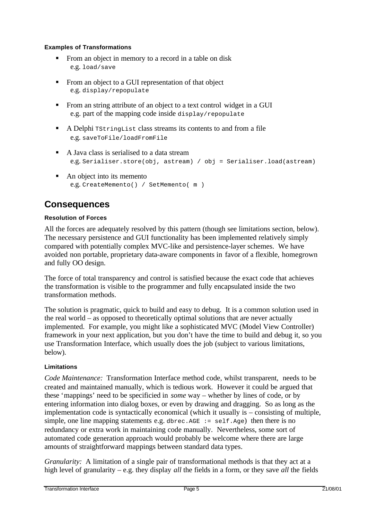#### **Examples of Transformations**

- **From an object in memory to a record in a table on disk** e.g. load/save
- **From an object to a GUI representation of that object** e.g. display/repopulate
- From an string attribute of an object to a text control widget in a GUI e.g. part of the mapping code inside display/repopulate
- ß A Delphi TStringList class streams its contents to and from a file e.g. saveToFile/loadFromFile
- A Java class is serialised to a data stream e.g. Serialiser.store(obj, astream) / obj = Serialiser.load(astream)
- $\blacksquare$  An object into its memento e.g. CreateMemento() / SetMemento( m )

## **Consequences**

### **Resolution of Forces**

All the forces are adequately resolved by this pattern (though see limitations section, below). The necessary persistence and GUI functionality has been implemented relatively simply compared with potentially complex MVC-like and persistence-layer schemes. We have avoided non portable, proprietary data-aware components in favor of a flexible, homegrown and fully OO design.

The force of total transparency and control is satisfied because the exact code that achieves the transformation is visible to the programmer and fully encapsulated inside the two transformation methods.

The solution is pragmatic, quick to build and easy to debug. It is a common solution used in the real world – as opposed to theoretically optimal solutions that are never actually implemented. For example, you might like a sophisticated MVC (Model View Controller) framework in your next application, but you don't have the time to build and debug it, so you use Transformation Interface, which usually does the job (subject to various limitations, below).

### **Limitations**

*Code Maintenance:* Transformation Interface method code, whilst transparent, needs to be created and maintained manually, which is tedious work. However it could be argued that these 'mappings' need to be specificied in *some* way – whether by lines of code, or by entering information into dialog boxes, or even by drawing and dragging. So as long as the implementation code is syntactically economical (which it usually is – consisting of multiple, simple, one line mapping statements e.g. dbrec. AGE :=  $\text{self}$ . Age) then there is no redundancy or extra work in maintaining code manually. Nevertheless, some sort of automated code generation approach would probably be welcome where there are large amounts of straightforward mappings between standard data types.

*Granularity:* A limitation of a single pair of transformational methods is that they act at a high level of granularity – e.g. they display *all* the fields in a form, or they save *all* the fields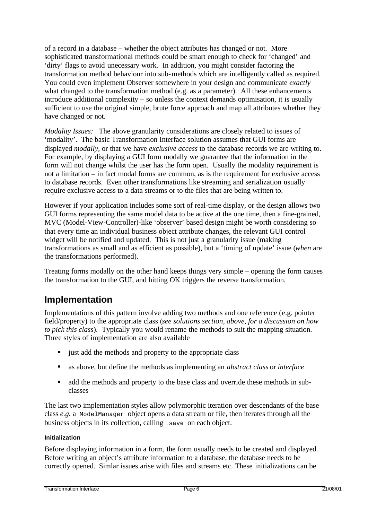of a record in a database – whether the object attributes has changed or not. More sophisticated transformational methods could be smart enough to check for 'changed' and 'dirty' flags to avoid unecessary work. In addition, you might consider factoring the transformation method behaviour into sub-methods which are intelligently called as required. You could even implement Observer somewhere in your design and communicate *exactly* what changed to the transformation method (e.g. as a parameter). All these enhancements introduce additional complexity – so unless the context demands optimisation, it is usually sufficient to use the original simple, brute force approach and map all attributes whether they have changed or not.

*Modality Issues:* The above granularity considerations are closely related to issues of 'modality'. The basic Transformation Interface solution assumes that GUI forms are displayed *modally,* or that we have *exclusive access* to the database records we are writing to. For example, by displaying a GUI form modally we guarantee that the information in the form will not change whilst the user has the form open. Usually the modality requirement is not a limitation – in fact modal forms are common, as is the requirement for exclusive access to database records. Even other transformations like streaming and serialization usually require exclusive access to a data streams or to the files that are being written to.

However if your application includes some sort of real-time display, or the design allows two GUI forms representing the same model data to be active at the one time, then a fine-grained, MVC (Model-View-Controller)-like 'observer' based design might be worth considering so that every time an individual business object attribute changes, the relevant GUI control widget will be notified and updated. This is not just a granularity issue (making transformations as small and as efficient as possible), but a 'timing of update' issue (*when* are the transformations performed).

Treating forms modally on the other hand keeps things very simple – opening the form causes the transformation to the GUI, and hitting OK triggers the reverse transformation.

### **Implementation**

Implementations of this pattern involve adding two methods and one reference (e.g. pointer field/property) to the appropriate class (*see solutions section, above, for a discussion on how to pick this class*). Typically you would rename the methods to suit the mapping situation. Three styles of implementation are also available

- just add the methods and property to the appropriate class
- ß as above, but define the methods as implementing an *abstract class* or *interface*
- dd the methods and property to the base class and override these methods in subclasses

The last two implementation styles allow polymorphic iteration over descendants of the base class *e.g.* a ModelManager object opens a data stream or file, then iterates through all the business objects in its collection, calling .save on each object.

### **Initialization**

Before displaying information in a form, the form usually needs to be created and displayed. Before writing an object's attribute information to a database, the database needs to be correctly opened. Simlar issues arise with files and streams etc. These initializations can be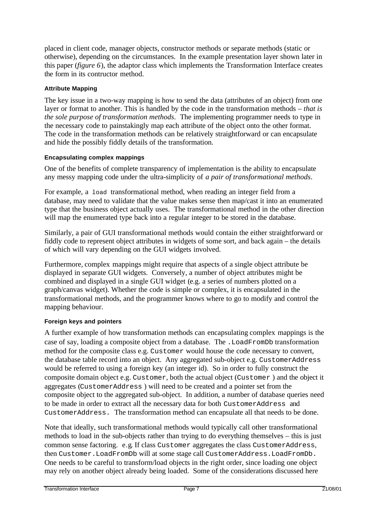placed in client code, manager objects, constructor methods or separate methods (static or otherwise), depending on the circumstances. In the example presentation layer shown later in this paper (*figure 6*), the adaptor class which implements the Transformation Interface creates the form in its contructor method.

### **Attribute Mapping**

The key issue in a two-way mapping is how to send the data (attributes of an object) from one layer or format to another. This is handled by the code in the transformation methods – *that is the sole purpose of transformation methods*. The implementing programmer needs to type in the necessary code to painstakingly map each attribute of the object onto the other format. The code in the transformation methods can be relatively straightforward or can encapsulate and hide the possibly fiddly details of the transformation.

### **Encapsulating complex mappings**

One of the benefits of complete transparency of implementation is the ability to encapsulate any messy mapping code under the ultra-simplicity of *a pair of transformational methods*.

For example, a load transformational method, when reading an integer field from a database, may need to validate that the value makes sense then map/cast it into an enumerated type that the business object actually uses. The transformational method in the other direction will map the enumerated type back into a regular integer to be stored in the database.

Similarly, a pair of GUI transformational methods would contain the either straightforward or fiddly code to represent object attributes in widgets of some sort, and back again – the details of which will vary depending on the GUI widgets involved.

Furthermore, complex mappings might require that aspects of a single object attribute be displayed in separate GUI widgets. Conversely, a number of object attributes might be combined and displayed in a single GUI widget (e.g. a series of numbers plotted on a graph/canvas widget). Whether the code is simple or complex, it is encapsulated in the transformational methods, and the programmer knows where to go to modify and control the mapping behaviour.

### **Foreign keys and pointers**

A further example of how transformation methods can encapsulating complex mappings is the case of say, loading a composite object from a database. The .LoadFromDb transformation method for the composite class e.g. Customer would house the code necessary to convert, the database table record into an object. Any aggregated sub-object e.g. CustomerAddress would be referred to using a foreign key (an integer id). So in order to fully construct the composite domain object e.g. Customer, both the actual object (Customer ) and the object it aggregates (CustomerAddress ) will need to be created and a pointer set from the composite object to the aggregated sub-object. In addition, a number of database queries need to be made in order to extract all the necessary data for both CustomerAddress and CustomerAddress. The transformation method can encapsulate all that needs to be done.

Note that ideally, such transformational methods would typically call other transformational methods to load in the sub-objects rather than trying to do everything themselves – this is just common sense factoring. e.g. If class Customer aggregates the class CustomerAddress, then Customer.LoadFromDb will at some stage call CustomerAddress.LoadFromDb. One needs to be careful to transform/load objects in the right order, since loading one object may rely on another object already being loaded. Some of the considerations discussed here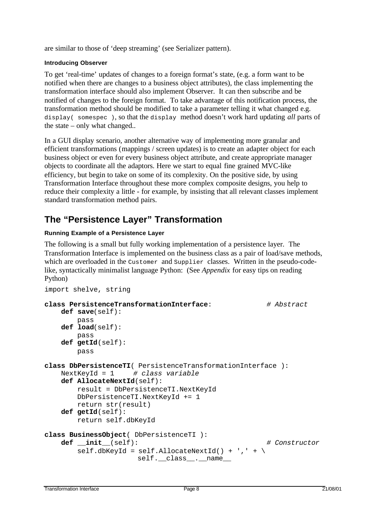are similar to those of 'deep streaming' (see Serializer pattern).

#### **Introducing Observer**

To get 'real-time' updates of changes to a foreign format's state, (e.g. a form want to be notified when there are changes to a business object attributes), the class implementing the transformation interface should also implement Observer. It can then subscribe and be notified of changes to the foreign format. To take advantage of this notification process, the transformation method should be modified to take a parameter telling it what changed e.g. display( somespec ), so that the display method doesn't work hard updating *all* parts of the state – only what changed..

In a GUI display scenario, another alternative way of implementing more granular and efficient transformations (mappings / screen updates) is to create an adapter object for each business object or even for every business object attribute, and create appropriate manager objects to coordinate all the adaptors. Here we start to equal fine grained MVC-like efficiency, but begin to take on some of its complexity. On the positive side, by using Transformation Interface throughout these more complex composite designs, you help to reduce their complexity a little - for example, by insisting that all relevant classes implement standard transformation method pairs.

### **The "Persistence Layer" Transformation**

### **Running Example of a Persistence Layer**

The following is a small but fully working implementation of a persistence layer. The Transformation Interface is implemented on the business class as a pair of load/save methods, which are overloaded in the Customer and Supplier classes. Written in the pseudo-codelike, syntactically minimalist language Python: (See *Appendix* for easy tips on reading Python)

```
import shelve, string
class PersistenceTransformationInterface: # Abstract
    def save(self):
        pass
    def load(self):
        pass
     def getId(self):
        pass
class DbPersistenceTI( PersistenceTransformationInterface ):
    NextKeyId = 1 # class variable
    def AllocateNextId(self):
        result = DbPersistenceTI.NextKeyId
        DbPersistenceTI.NextKeyId += 1
        return str(result)
    def getId(self):
        return self.dbKeyId
class BusinessObject( DbPersistenceTI ):
    def __init__(self): # Constructor
       self.dbKeyId = self.AllocateNextId() + '. + \self.__class__._name__
```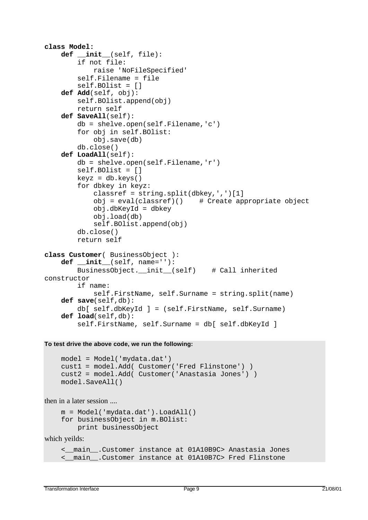```
class Model:
     def __init__(self, file):
         if not file:
             raise 'NoFileSpecified'
         self.Filename = file
         self.BOlist = []
     def Add(self, obj):
         self.BOlist.append(obj)
         return self
     def SaveAll(self):
         db = shelve.open(self.Filename,'c')
         for obj in self.BOlist:
             obj.save(db)
         db.close()
     def LoadAll(self):
         db = shelve.open(self.Filename,'r')
         self.BOlist = []
        keyz = db.keys() for dbkey in keyz:
            classref = string.split(dbkey,',')[1]obj = eval(classref)() # Create appropriate object
             obj.dbKeyId = dbkey
             obj.load(db)
             self.BOlist.append(obj)
         db.close()
         return self
class Customer( BusinessObject ):
     def __init__(self, name=''):
         BusinessObject.__init__(self) # Call inherited
constructor
         if name:
             self.FirstName, self.Surname = string.split(name)
     def save(self,db):
         db[ self.dbKeyId ] = (self.FirstName, self.Surname)
     def load(self,db):
         self.FirstName, self.Surname = db[ self.dbKeyId ]
```
**To test drive the above code, we run the following:**

```
model = Model('mydata.dat')
cust1 = model.Add( Customer('Fred Flinstone') )
cust2 = model.Add( Customer('Anastasia Jones') )
model.SaveAll()
```
then in a later session ....

```
m = Model('mydata.dat').LoadAll()
for businessObject in m.BOlist:
     print businessObject
```
which yeilds:

```
<__main__.Customer instance at 01A10B9C> Anastasia Jones
<__main__.Customer instance at 01A10B7C> Fred Flinstone
```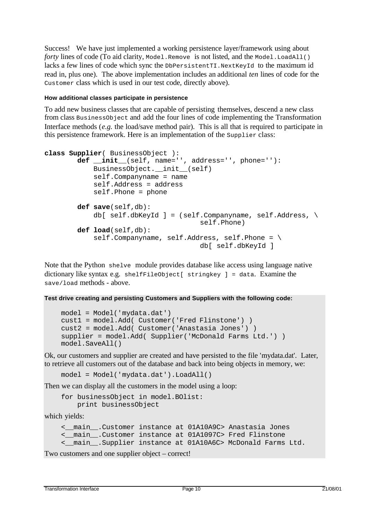Success! We have just implemented a working persistence layer/framework using about *forty* lines of code (To aid clarity, Model.Remove is not listed, and the Model.LoadAll() lacks a few lines of code which sync the DbPersistentTI.NextKeyId to the maximum id read in, plus one). The above implementation includes an additional *ten* lines of code for the Customer class which is used in our test code, directly above).

#### **How additional classes participate in persistence**

To add new business classes that are capable of persisting themselves, descend a new class from class BusinessObject and add the four lines of code implementing the Transformation Interface methods (*e.g.* the load/save method pair). This is all that is required to participate in this persistence framework. Here is an implementation of the Supplier class:

```
class Supplier( BusinessObject ):
         def __init__(self, name='', address='', phone=''):
             BusinessObject.__init__(self)
             self.Companyname = name
             self.Address = address
             self.Phone = phone
         def save(self,db):
            db[ self.dbKeyId ] = (self.Companyname, self.Address, \setminusself.Phone)
         def load(self,db):
            self.Companyname, self.Address, self.Phone = \setminusdb[ self.dbKeyId ]
```
Note that the Python shelve module provides database like access using language native dictionary like syntax e.g. shelfFileObject[ stringkey ] = data. Examine the save/load methods - above.

```
Test drive creating and persisting Customers and Suppliers with the following code:
```

```
 model = Model('mydata.dat')
 cust1 = model.Add( Customer('Fred Flinstone') )
 cust2 = model.Add( Customer('Anastasia Jones') )
 supplier = model.Add( Supplier('McDonald Farms Ltd.') )
 model.SaveAll()
```
Ok, our customers and supplier are created and have persisted to the file 'mydata.dat'. Later, to retrieve all customers out of the database and back into being objects in memory, we:

model = Model('mydata.dat').LoadAll()

Then we can display all the customers in the model using a loop:

 for businessObject in model.BOlist: print businessObject

which yields:

```
<__main__.Customer instance at 01A10A9C> Anastasia Jones
<__main__.Customer instance at 01A1097C> Fred Flinstone
<__main__.Supplier instance at 01A10A6C> McDonald Farms Ltd.
```
Two customers and one supplier object – correct!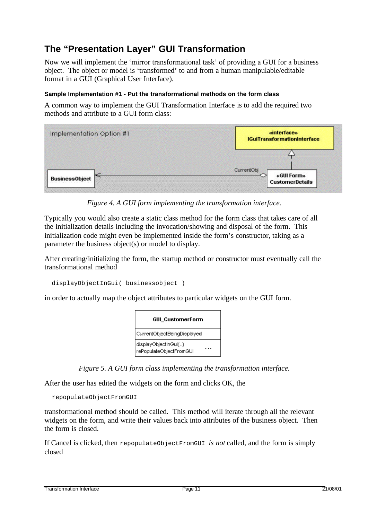# **The "Presentation Layer" GUI Transformation**

Now we will implement the 'mirror transformational task' of providing a GUI for a business object. The object or model is 'transformed' to and from a human manipulable/editable format in a GUI (Graphical User Interface).

#### **Sample Implementation #1 - Put the transformational methods on the form class**

A common way to implement the GUI Transformation Interface is to add the required two methods and attribute to a GUI form class:



*Figure 4. A GUI form implementing the transformation interface.*

Typically you would also create a static class method for the form class that takes care of all the initialization details including the invocation/showing and disposal of the form. This initialization code might even be implemented inside the form's constructor, taking as a parameter the business object(s) or model to display.

After creating/initializing the form, the startup method or constructor must eventually call the transformational method

```
 displayObjectInGui( businessobject )
```
in order to actually map the object attributes to particular widgets on the GUI form.



*Figure 5. A GUI form class implementing the transformation interface.*

After the user has edited the widgets on the form and clicks OK, the

```
 repopulateObjectFromGUI
```
transformational method should be called. This method will iterate through all the relevant widgets on the form, and write their values back into attributes of the business object. Then the form is closed.

If Cancel is clicked, then repopulateObjectFromGUI *is not* called, and the form is simply closed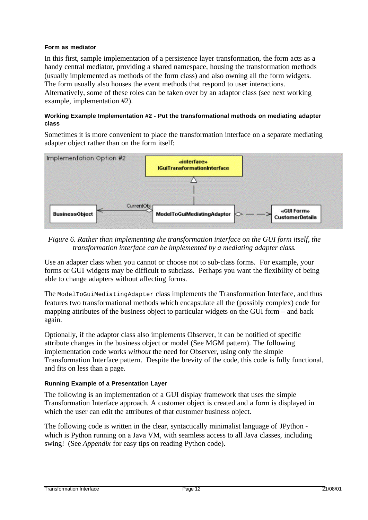#### **Form as mediator**

In this first, sample implementation of a persistence layer transformation, the form acts as a handy central mediator, providing a shared namespace, housing the transformation methods (usually implemented as methods of the form class) and also owning all the form widgets. The form usually also houses the event methods that respond to user interactions. Alternatively, some of these roles can be taken over by an adaptor class (see next working example, implementation #2).

#### **Working Example Implementation #2 - Put the transformational methods on mediating adapter class**

Sometimes it is more convenient to place the transformation interface on a separate mediating adapter object rather than on the form itself:



### *Figure 6. Rather than implementing the transformation interface on the GUI form itself, the transformation interface can be implemented by a mediating adapter class.*

Use an adapter class when you cannot or choose not to sub-class forms. For example, your forms or GUI widgets may be difficult to subclass. Perhaps you want the flexibility of being able to change adapters without affecting forms.

The ModelToGuiMediatingAdapter class implements the Transformation Interface, and thus features two transformational methods which encapsulate all the (possibly complex) code for mapping attributes of the business object to particular widgets on the GUI form – and back again.

Optionally, if the adaptor class also implements Observer, it can be notified of specific attribute changes in the business object or model (See MGM pattern). The following implementation code works *without* the need for Observer, using only the simple Transformation Interface pattern. Despite the brevity of the code, this code is fully functional, and fits on less than a page.

### **Running Example of a Presentation Layer**

The following is an implementation of a GUI display framework that uses the simple Transformation Interface approach. A customer object is created and a form is displayed in which the user can edit the attributes of that customer business object.

The following code is written in the clear, syntactically minimalist language of JPython which is Python running on a Java VM, with seamless access to all Java classes, including swing! (See *Appendix* for easy tips on reading Python code).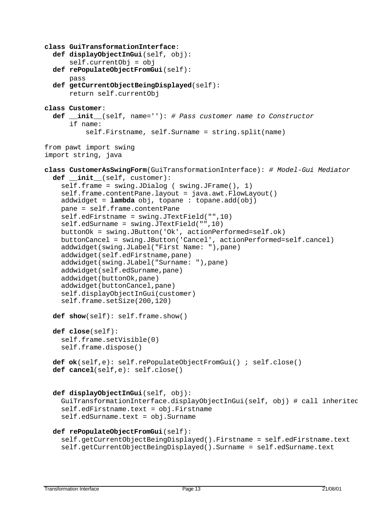```
class GuiTransformationInterface:
   def displayObjectInGui(self, obj):
       self.currentObj = obj
   def rePopulateObjectFromGui(self):
       pass
   def getCurrentObjectBeingDisplayed(self):
       return self.currentObj
class Customer:
   def __init__(self, name=''): # Pass customer name to Constructor
       if name:
          self.Firstname, self.Surname = string.split(name)
from pawt import swing
import string, java
class CustomerAsSwingForm(GuiTransformationInterface): # Model-Gui Mediator
   def __init__(self, customer):
     self.frame = swing.JDialog ( swing.JFrame(), 1)
     self.frame.contentPane.layout = java.awt.FlowLayout()
     addwidget = lambda obj, topane : topane.add(obj)
     pane = self.frame.contentPane
     self.edFirstname = swing.JTextField("",10)
     self.edSurname = swing.JTextField("",10)
     buttonOk = swing.JButton('Ok', actionPerformed=self.ok)
     buttonCancel = swing.JButton('Cancel', actionPerformed=self.cancel)
     addwidget(swing.JLabel("First Name: "),pane)
     addwidget(self.edFirstname,pane)
     addwidget(swing.JLabel("Surname: "),pane)
     addwidget(self.edSurname,pane)
     addwidget(buttonOk,pane)
     addwidget(buttonCancel,pane)
     self.displayObjectInGui(customer)
     self.frame.setSize(200,120)
   def show(self): self.frame.show()
   def close(self):
     self.frame.setVisible(0)
     self.frame.dispose()
   def ok(self,e): self.rePopulateObjectFromGui() ; self.close()
   def cancel(self,e): self.close()
   def displayObjectInGui(self, obj):
     GuiTransformationInterface.displayObjectInGui(self, obj) # call inherited
    self.edFirstname.text = obj.Firstname
     self.edSurname.text = obj.Surname
   def rePopulateObjectFromGui(self):
     self.getCurrentObjectBeingDisplayed().Firstname = self.edFirstname.text
     self.getCurrentObjectBeingDisplayed().Surname = self.edSurname.text
```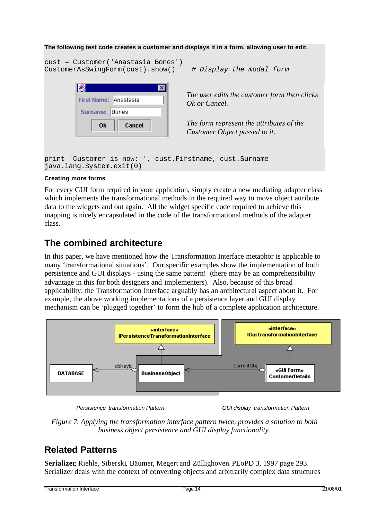### **The following test code creates a customer and displays it in a form, allowing user to edit.** cust = Customer('Anastasia Bones') CustomerAsSwingForm(cust).show() *# Display the modal form* Iš. ⋥ *The user edits the customer form then clicks* First Name: Anastasia *Ok or Cancel.* Surname: Bones *The form represent the attributes of the* **Ok** Cancel *Customer Object passed to it.* print 'Customer is now: ', cust.Firstname, cust.Surname java.lang.System.exit(0)

### **Creating more forms**

For every GUI form required in your application, simply create a new mediating adapter class which implements the transformational methods in the required way to move object attribute data to the widgets and out again. All the widget specific code required to achieve this mapping is nicely encapsulated in the code of the transformational methods of the adapter class.

### **The combined architecture**

In this paper, we have mentioned how the Transformation Interface metaphor is applicable to many 'transformational situations'. Our specific examples show the implementation of both persistence and GUI displays - using the same pattern! (there may be an comprehensibility advantage in this for both designers and implementers). Also, because of this broad applicability, the Transformation Interface arguably has an architectural aspect about it. For example, the above working implementations of a persistence layer and GUI display mechanism can be 'plugged together' to form the hub of a complete application architecture.



*Persistence transformation Pattern GUI display transformation Pattern*

*Figure 7. Applying the transformation interface pattern twice, provides a solution to both business object persistence and GUI display functionality.*

## **Related Patterns**

**Serializer**, Riehle, Siberski, Bäumer, Megert and Züllighoven. PLoPD 3, 1997 page 293. Serializer deals with the context of converting objects and arbitrarily complex data structures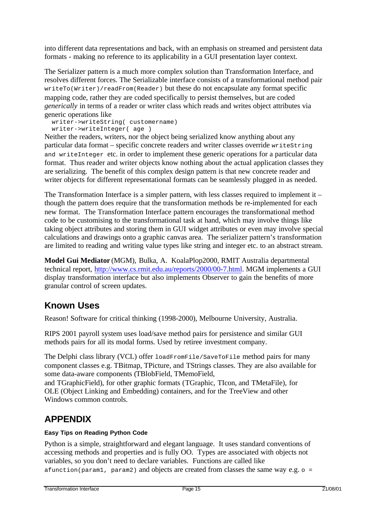into different data representations and back, with an emphasis on streamed and persistent data formats - making no reference to its applicability in a GUI presentation layer context.

The Serializer pattern is a much more complex solution than Transformation Interface, and resolves different forces. The Serializable interface consists of a transformational method pair writeTo(Writer)/readFrom(Reader) but these do not encapsulate any format specific mapping code, rather they are coded specifically to persist themselves, but are coded *generically* in terms of a reader or writer class which reads and writes object attributes via generic operations like

 writer->writeString( customername) writer->writeInteger( age )

Neither the readers, writers, nor the object being serialized know anything about any particular data format – specific concrete readers and writer classes override writeString and writeInteger etc. in order to implement these generic operations for a particular data format. Thus reader and writer objects know nothing about the actual application classes they are serializing. The benefit of this complex design pattern is that new concrete reader and writer objects for different representational formats can be seamlessly plugged in as needed.

The Transformation Interface is a simpler pattern, with less classes required to implement it – though the pattern does require that the transformation methods be re-implemented for each new format. The Transformation Interface pattern encourages the transformational method code to be customising to the transformational task at hand, which may involve things like taking object attributes and storing them in GUI widget attributes or even may involve special calculations and drawings onto a graphic canvas area. The serializer pattern's transformation are limited to reading and writing value types like string and integer etc. to an abstract stream.

**Model Gui Mediator** (MGM), Bulka, A. KoalaPlop2000, RMIT Australia departmental technical report, http://www.cs.rmit.edu.au/reports/2000/00-7.html. MGM implements a GUI display transformation interface but also implements Observer to gain the benefits of more granular control of screen updates.

## **Known Uses**

Reason! Software for critical thinking (1998-2000), Melbourne University, Australia.

RIPS 2001 payroll system uses load/save method pairs for persistence and similar GUI methods pairs for all its modal forms. Used by retiree investment company.

The Delphi class library (VCL) offer loadFromFile/SaveToFile method pairs for many component classes e.g. TBitmap, TPicture, and TStrings classes. They are also available for some data-aware components (TBlobField, TMemoField,

and TGraphicField), for other graphic formats (TGraphic, TIcon, and TMetaFile), for OLE (Object Linking and Embedding) containers, and for the TreeView and other Windows common controls.

# **APPENDIX**

### **Easy Tips on Reading Python Code**

Python is a simple, straightforward and elegant language. It uses standard conventions of accessing methods and properties and is fully OO. Types are associated with objects not variables, so you don't need to declare variables. Functions are called like afunction(param1, param2) and objects are created from classes the same way e.g.  $\circ$  =